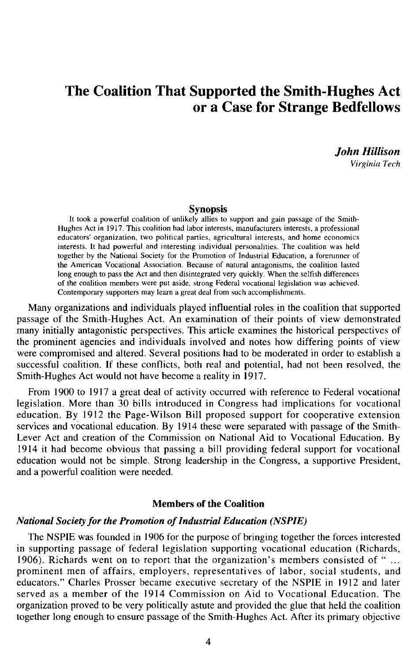# The Coalition That Supported the Smith-Hughes Act or a Case for Strange Bedfellows

*John Hillison* 

*Virginia Tech* 

# Synopsis

It took a powerful coalition of unlikely allies to support and gain passage of the Smith-Hughes Act in 1917. This coalition had labor interests. manufacturers interests. a professional educators' organization, two political parties, agricultural interests, and home economics interests. It had powerful and interesting individual personalities. The coalition was held together by the National Society for the Promotion of Industrial Education, a forerunner of the American Vocational Association. Because of natural antagonisms, the coalition lasted long enough to pass the Act and then disintegrated very quickly. When the selfish differences of the coalition members were put aside, strong Federal vocational legislation was achieved. Contemporary supporters may learn a great deal from such accomplishments.

Many organizations and individuals played influential roles in the coalition that supported passage of the Smith-Hughes Act. An examination of their points of view demonstrated many initially antagonistic perspectives. This article examines the historical perspectives of the prominent agencies and individuals involved and notes how differing points of view were compromised and altered. Several positions had to be moderated in order to establish a successful coalition. If these conflicts, both real and potential, had not been resolved, the Smith-Hughes Act would not have become a reality in 1917.

From 1900 to 1917 a great deal of activity occurred with reference to Federal vocational legislation. More than 30 bills introduced in Congress had implications for vocational education. By 1912 the Page-Wilson Bill proposed support for cooperative extension services and vocational education. By 1914 these were separated with passage of the Smith-Lever Act and creation of the Commission on National Aid to Vocational Education. By 1914 it had become obvious that passing a bill providing federal support for vocational education would not be simple. Strong leadership in the Congress, a supportive President, and a powerful coalition were needed.

# Members of the Coalition

#### *National Society for the Promotion of Industrial Education (NSPIE)*

The NSPIE was founded in 1906 for the purpose of bringing together the forces interested in supporting passage of federal legislation supporting vocational education (Richards, 1906). Richards went on to report that the organization's members consisted of " ... prominent men of affairs, employers, representatives of labor, social students, and educators." Charles Prosser became executive secretary of the NSPIE in 1912 and later served as a member of the 1914 Commission on Aid to Vocational Education. The organization proved to be very politically astute and provided the glue that held the coalition together long enough to ensure passage of the Smith-Hughes Act. After its primary objective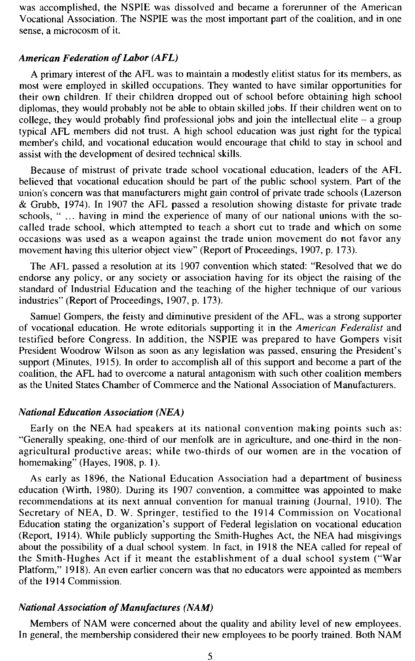was accomplished, the NSPIE was dissolved and became a forerunner of the American Vocational Association. The NSPIE was the most important part of the coalition, and in one sense, a microcosm of it.

### *American Federation of Labor (AFL)*

A primary interest of the AFL was to maintain a modestly elitist status for its members, as most were employed in skilled occupations. They wanted to have similar opportunities for their own children. If their children dropped out of school before obtaining high school diplomas, they would probably not be able to obtain skilled jobs. If their children went on to college, they would probably find professional jobs and join the intellectual elite  $-$  a group typical AFL members did not trust. A high school education was just right for the typical member's child, and vocational education would encourage that child to stay in school and assist with the development of desired technical skills.

Because of mistrust of private trade school vocational education, leaders of the AFL believed that vocational education should be part of the public school system. Part of the union's concern was that manufacturers might gain control of private trade schools (Lazerson & Grubb, 1974). In 1907 the AFL passed a resolution showing distaste for private trade schools, "... having in mind the experience of many of our national unions with the socalled trade school, which attempted to teach a short cut to trade and which on some occasions was used as a weapon against the trade union movement do not favor any movement having this ulterior object view" (Report of Proceedings, 1907, p. 173).

The AFL passed a resolution at its 1907 convention which stated: "Resolved that we do endorse any policy, or any society or association having for its object the raising of the standard of Industrial Education and the teaching of the higher technique of our various industries" (Report of Proceedings, 1907, p. 173).

Samuel Gompers, the feisty and diminutive president of the AFL, was a strong supporter of vocational education. He wrote editorials supporting it in the *American Federalist* and testified before Congress. In addition, the NSPIE was prepared to have Gompers visit President Woodrow Wilson as soon as any legislation was passed, ensuring the President's support (Minutes, 1915). In order to accomplish all of this support and become a part of the coalition, the AFL had to overcome a natural antagonism with such other coalition members as the United States Chamber of Commerce and the National Association of Manufacturers.

#### *National Education Association (NEA)*

Early on the NEA had speakers at its national convention making points such as: "Generally speaking, one-third of our menfolk are in agriculture, and one-third in the nonagricultural productive areas; while two-thirds of our women are in the vocation of homemaking" (Hayes, 1908, p. 1).

As early as 1896, the National Education Association had a department of business education (Wirth, 1980). During its 1907 convention, a committee was appointed to make recommendations at its next annual convention for manual training (Journal, 1910). The Secretary of NEA, D. W. Springer, testified to the 1914 Commission on Vocational Education stating the organization's support of Federal legislation on vocational education (Report, 1914). While publicly supporting the Smith-Hughes Act, the NEA had misgivings about the possibility of a dual school system. In fact, in 1918 the NEA called for repeal of the Smith-Hughes Act if it meant the establishment of a dual school system ("War Platform," 1918). An even earlier concern was that no educators were appointed as members of the 1914 Commission.

# *National Association of Manufactures (NAM)*

Members of NAM were concerned about the quality and ability level of new employees. In general, the membership considered their new employees to be poorly trained. Both NAM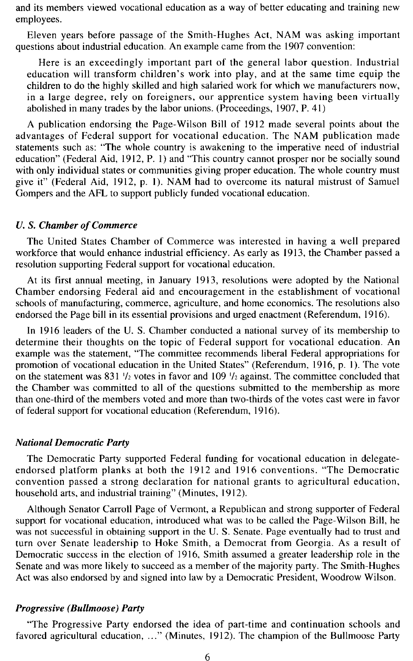and its members viewed vocational education as a way of better educating and training new employees.

Eleven years before passage of the Smith-Hughes Act, NAM was asking important questions about industrial education. An example came from the 1907 convention:

Here is an exceedingly important part of the general labor question. Industrial education will transform children's work into play, and at the same time equip the children to do the highly skilled and high salaried work for which we manufacturers now, in a large degree, rely on foreigners, our apprentice system having been virtually abolished in many trades by the labor unions. (Proceedings, 1907, P. 41)

A publication endorsing the Page-Wilson Bill of 1912 made several points about the advantages of Federal support for vocational education. The NAM publication made statements such as: "The whole country is awakening to the imperative need of industrial education" (Federal Aid, 1912, P. I) and "This country cannot prosper nor be socially sound with only individual states or communities giving proper education. The whole country must give it" (Federal Aid, 1912, p. I). NAM had to overcome its natural mistrust of Samuel Gompers and the AFL to support publicly funded vocational education.

# *U.* S. *Chamber of Commerce*

The United States Chamber of Commerce was interested in having a well prepared workforce that would enhance industrial efficiency. As early as 1913, the Chamber passed a resolution supporting Federal support for vocational education.

At its first annual meeting, in January 1913, resolutions were adopted by the National Chamber endorsing Federal aid and encouragement in the establishment of vocational schools of manufacturing, commerce, agriculture, and home economics. The resolutions also endorsed the Page bill in its essential provisions and urged enactment (Referendum, 1916).

In 1916 leaders of the U. S. Chamber conducted a national survey of its membership to determine their thoughts on the topic of Federal support for vocational education. An example was the statement, "The committee recommends liberal Federal appropriations for promotion of vocational education in the United States" (Referendum, 1916, p. I). The vote on the statement was 831  $\frac{1}{2}$  votes in favor and 109  $\frac{1}{2}$  against. The committee concluded that the Chamber was committed to all of the questions submitted to the membership as more than one-third of the members voted and more than two-thirds of the votes cast were in favor of federal support for vocational education (Referendum, 1916).

### *National Democratic Party*

The Democratic Party supported Federal funding for vocational education in delegateendorsed platform planks at both the 1912 and 1916 conventions. "The Democratic convention passed a strong declaration for national grants to agricultural education, household arts, and industrial training" (Minutes, 1912).

Although Senator Carroll Page of Vermont, a Republican and strong supporter of Federal support for vocational education, introduced what was to be called the Page-Wilson Bill, he was not successful in obtaining support in the U. S. Senate. Page eventually had to trust and turn over Senate leadership to Hoke Smith, a Democrat from Georgia. As a result of Democratic success in the election of 1916, Smith assumed a greater leadership role in the Senate and was more likely to succeed as a member of the majority party. The Smith-Hughes Act was also endorsed by and signed into law by a Democratic President, Woodrow Wilson.

#### *Progressive (Bullmoose) Party*

"The Progressive Party endorsed the idea of part-time and continuation schools and favored agricultural education, ..." (Minutes, 1912). The champion of the Bullmoose Party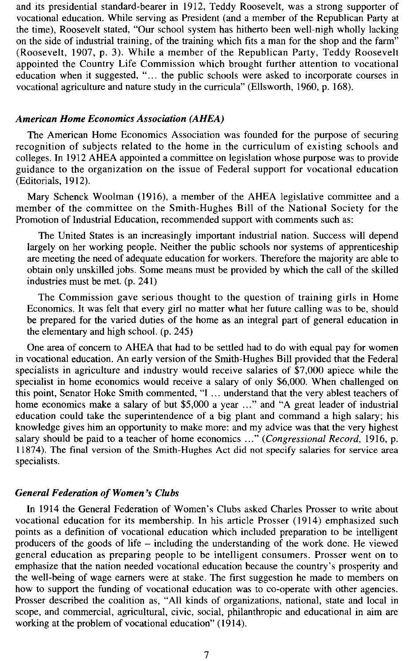and its presidential standard-bearer in 1912, Teddy Roosevelt, was a strong supporter of vocational education. While serving as President (and a member of the Republican Party at the time), Roosevelt stated, "Our school system has hitherto been well-nigh wholly lacking on the side of industrial training, of the training which fits a man for the shop and the farm" (Roosevelt, 1907, p. 3). While a member of the Republican Party, Teddy Roosevelt appointed the Country Life Commission which brought further attention to vocational education when it suggested, "... the public schools were asked to incorporate courses in vocational agriculture and nature study in the curricula" (Ellsworth, 1960, p. 168).

# *American Rome Economics Association (AREA)*

The American Home Economics Association was founded for the purpose of securing recognition of subjects related to the home in the curriculum of existing schools and colleges. In 1912 AHEA appointed a committee on legislation whose purpose was to provide guidance to the organization on the issue of Federal support for vocational education (Editorials, 1912).

Mary Schenck Woolman (1916), a member of the AHEA legislative committee and a member of the committee on the Smith-Hughes Bill of the National Society for the Promotion of Industrial Education, recommended support with comments such as:

The United States is an increasingly important industrial nation. Success will depend largely on her working people. Neither the public schools nor systems of apprenticeship are meeting the need of adequate education for workers. Therefore the majority are able to obtain only unskilled jobs. Some means must be provided by which the call of the skilled industries must be met. (p. 241)

The Commission gave serious thought to the question of training girls in Home Economics. It was felt that every girl no matter what her future calling was to be, should be prepared for the varied duties of the home as an integral part of general education in the elementary and high school. (p. 245)

One area of concern to AHEA that had to be settled had to do with equal pay for women in vocational education. An early version of the Smith-Hughes Bill provided that the Federal specialists in agriculture and industry would receive salaries of \$7,000 apiece while the specialist in home economics would receive a salary of only \$6,000. When challenged on this point, Senator Hoke Smith commented, "I ... understand that the very ablest teachers of home economics make a salary of but \$5,000 a year ..." and "A great leader of industrial education could take the superintendence of a big plant and command a high salary; his knowledge gives him an opportunity to make more: and my advice was that the very highest salary should be paid to a teacher of home economics ... " *(Congressional Record,* 1916, p. 11874). The final version of the Smith-Hughes Act did not specify salaries for service area specialists.

# *General Federation of Women's Clubs*

In 1914 the General Federation of Women's Clubs asked Charles Prosser to write about vocational education for its membership. In his article Prosser (1914) emphasized such points as a definition of vocational education which included preparation to be intelligent producers of the goods of life - including the understanding of the work done. He viewed general education as preparing people to be intelligent consumers. Prosser went on to emphasize that the nation needed vocational education because the country's prosperity and the well-being of wage earners were at stake. The first suggestion he made to members on how to support the funding of vocational education was to co-operate with other agencies. Prosser described the coalition as, "All kinds of organizations, national, state and local in scope, and commercial, agricultural, civic, social, philanthropic and educational in aim are working at the problem of vocational education" (1914).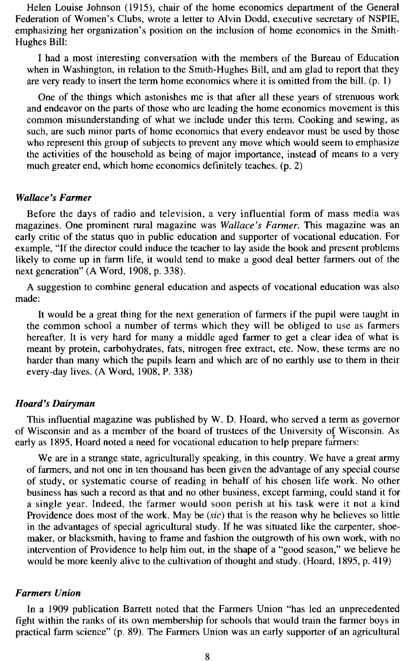Helen Louise Johnson (1915), chair of the home economics department of the General Federation of Women's Clubs, wrote a letter to Alvin Dodd, executive secretary of NSPIE, emphasizing her organization's position on the inclusion of home economics in the Smith-Hughes Bill:

I had a most interesting conversation with the members of the Bureau of Education when in Washington, in relation to the Smith-Hughes Bill, and am glad to report that they are very ready to insert the term home economics where it is omitted from the bill.  $(p, 1)$ 

One of the things which astonishes me is that after all these years of strenuous work and endeavor on the parts of those who are leading the home economics movement is this common misunderstanding of what we include under this term. Cooking and sewing, as such, are such minor parts of home economics that every endeavor must be used by those who represent this group of subjects to prevent any move which would seem to emphasize the activities of the household as being of major importance, instead of means to a very much greater end, which home economics definitely teaches. (p. 2)

# *Wallace's Farmer*

Before the days of radio and television, a very influential form of mass media was magazines. One prominent rural magazine was *Wallace's Farmer.* This magazine was an early critic of the status quo in public education and supporter of vocational education. For example, "If the director could induce the teacher to lay aside the book and present problems likely to come up in farm life, it would tend to make a good deal better farmers out of the next generation" (A Word, 1908, p. 338).

A suggestion to combine general education and aspects of vocational education was also made:

It would be a great thing for the next generation of farmers if the pupil were taught in the common school a number of terms which they will be obliged to use as farmers hereafter. It is very hard for many a middle aged farmer to get a clear idea of what is meant by protein, carbohydrates, fats, nitrogen free extract, etc. Now, these terms are no harder than many which the pupils learn and which are of no earthly use to them in their every-day lives. (A Word, 1908, P. 338)

### *Hoard's Dairyman*

This influential magazine was published by W. D. Hoard, who served a term as governor of Wisconsin and as a member of the board of trustees of the University of Wisconsin. As early as 1895, Hoard noted a need for vocational education to help prepare farmers:

We are in a strange state, agriculturally speaking, in this country. We have a great army of farmers, and not one in ten thousand has been given the advantage of any special course of study, or systematic course of reading in behalf of his chosen life work. No other business has such a record as that and no other business, except farming, could stand it for a single year. Indeed, the farmer would soon perish at his task were it not a kind Providence does most of the work. May be *(sic)* that is the reason why he believes so little in the advantages of special agricultural study. If he was situated like the carpenter, shoemaker, or blacksmith, having to frame and fashion the outgrowth of his own work, with no intervention of Providence to help him out, in the shape of a "good season," we believe he would be more keenly alive to the cultivation of thought and study. (Hoard, 1895, p. 419)

## *Farmers Union*

In a 1909 publication Barrett noted that the Farmers Union "has led an unprecedented fight within the ranks of its own membership for schools that would train the farmer boys in practical farm science" (p. 89). The Farmers Union was an early supporter of an agricultural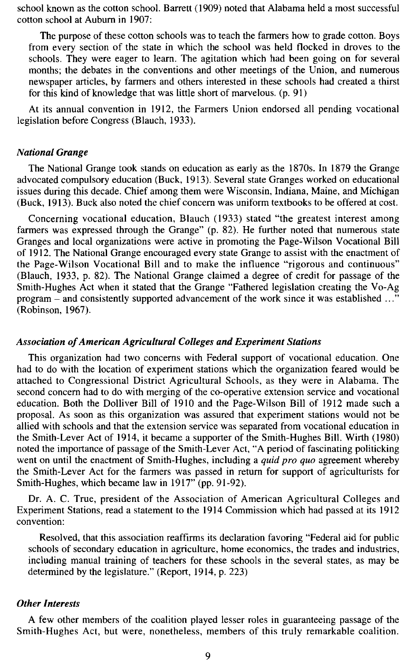school known as the cotton school. Barrett (1909) noted that Alabama held a most successful cotton school at Aubum in 1907:

The purpose of these cotton schools was to teach the farmers how to grade cotton. Boys from every section of the state in which the school was held flocked in droves to the schools. They were eager to learn. The agitation which had been going on for several months; the debates in the conventions and other meetings of the Union, and numerous newspaper articles, by farmers and others interested in these schools had created a thirst for this kind of knowledge that was little short of marvelous. (p. 91)

At its annual convention in 1912, the Farmers Union endorsed all pending vocational legislation before Congress (Blauch, 1933).

#### *National Grange*

The National Grange took stands on education as early as the 1870s. In 1879 the Grange advocated compulsory education (Buck, 1913). Several state Granges worked on educational issues during this decade. Chief among them were Wisconsin, Indiana, Maine, and Michigan (Buck, 1913). Buck also noted the chief concern was uniform textbooks to be offered at cost.

Concerning vocational education, Blauch (1933) stated "the greatest interest among farmers was expressed through the Grange" (p. 82). He further noted that numerous state Granges and local organizations were active in promoting the Page-Wilson Vocational Bill of 1912. The National Grange encouraged every state Grange to assist with the enactment of the Page-Wilson Vocational Bill and to make the influence "rigorous and continuous" (Blauch, 1933, p. 82). The National Grange claimed a degree of credit for passage of the Smith-Hughes Act when it stated that the Grange "Fathered legislation creating the Vo-Ag program – and consistently supported advancement of the work since it was established ..." (Robinson, 1967).

#### *Association of American Agricultural Colleges and Experiment Stations*

This organization had two concerns with Federal support of vocational education. One had to do with the location of experiment stations which the organization feared would be attached to Congressional District Agricultural Schools, as they were in Alabama. The second concern had to do with merging of the co-operative extension service and vocational education. Both the Dolliver Bill of 1910 and the Page-Wilson Bill of 1912 made such a proposal. As soon as this organization was assured that experiment stations would not be allied with schools and that the extension service was separated from vocational education in the Smith-Lever Act of 1914, it became a supporter of the Smith-Hughes Bill. Wirth (1980) noted the importance of passage of the Smith-Lever Act, "A period of fascinating politicking went on until the enactment of Smith-Hughes, including a *quid pro quo* agreement whereby the Smith-Lever Act for the farmers was passed in return for support of agriculturists for Smith-Hughes, which became law in 1917" (pp. 91-92).

Dr. A. C. True, president of the Association of American Agricultural Colleges and Experiment Stations, read a statement to the 1914 Commission which had passed at its 1912 convention:

Resolved, that this association reaffirms its declaration favoring "Federal aid for public schools of secondary education in agriculture, home economics, the trades and industries, including manual training of teachers for these schools in the several states, as may be determined by the legislature." (Report, 1914, p. 223)

# *Other Interests*

A few other members of the coalition played lesser roles in guaranteeing passage of the Smith-Hughes Act, but were, nonetheless, members of this truly remarkable coalition.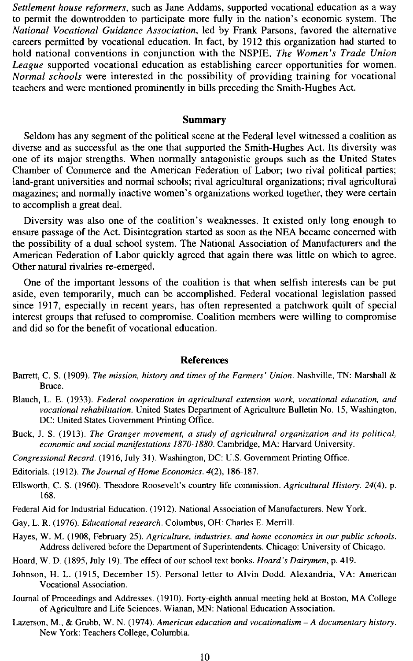*Settlement house reformers,* such as Jane Addams, supported vocational education as a way to permit the downtrodden to participate more fully in the nation's economic system. The *National Vocational Guidance Association,* led by Frank Parsons, favored the alternative careers permitted by vocational education. In fact, by 1912 this organization had started to hold national conventions in conjunction with the NSPIE. *The Women's Trade Union League* supported vocational education as establishing career opportunities for women. *Normal schools* were interested in the possibility of providing training for vocational teachers and were mentioned prominently in bills preceding the Smith-Hughes Act.

### **Summary**

Seldom has any segment of the political scene at the Federal level witnessed a coalition as diverse and as successful as the one that supported the Smith-Hughes Act. Its diversity was one of its major strengths. When normally antagonistic groups such as the United States Chamber of Commerce and the American Federation of Labor; two rival political parties; land-grant universities and normal schools; rival agricultural organizations; rival agricultural magazines; and normally inactive women's organizations worked together, they were certain to accomplish a great deal.

Diversity was also one of the coalition's weaknesses. It existed only long enough to ensure passage of the Act. Disintegration started as soon as the NEA became concerned with the possibility of a dual school system. The National Association of Manufacturers and the American Federation of Labor quickly agreed that again there was little on which to agree. Other natural rivalries re-emerged.

One of the important lessons of the coalition is that when selfish interests can be put aside, even temporarily, much can be accomplished. Federal vocational legislation passed since 1917, especially in recent years, has often represented a patchwork quilt of special interest groups that refused to compromise. Coalition members were willing to compromise and did so for the benefit of vocational education.

#### **References**

- Barrett, C. S. (1909). *The mission, history and times of the Farmers' Union.* Nashville, TN: Marshall & Bruce.
- Blauch, L. E. (1933). *Federal cooperation in agricultural extension work, vocational education, and vocational rehabilitation.* United States Department of Agriculture Bulletin No. 15, Washington, DC: United States Government Printing Office.
- Buck, J. S. (\9\3). *The Granger movement, a study of agricultural organization and its political, economic and social manifestations 1870-1880.* Cambridge, MA: Harvard University.
- *Congressional Record.* (1916, July 31). Washington, DC: U.S. Government Printing Office.
- Editorials. (1912). *The Journal of Home Economics.* 4(2), 186-187.
- Ellsworth, C. S. (1960). Theodore Roosevelt's country life commission. *Agricultural History.* 24(4), p. 168.

Federal Aid for Industrial Education. (1912). National Association of Manufacturers. New York.

- Gay, L. R. (1976). *Educational research.* Columbus, OH: Charles E. Merrill.
- Hayes, W. M. (1908, February 25). *Agriculture, industries, and home economics in our public schools.*  Address delivered before the Department of Superintendents. Chicago: University of Chicago.
- Hoard, W. D. (1895, July 19). The effect of our school text books. *Hoard's Dairymen,* p. 419.
- Johnson, H. 1. (1915, December 15). Personal letter to Alvin Dodd. Alexandria, VA: American Vocational Association.
- Journal of Proceedings and Addresses. (1910). Forty-eighth annual meeting held at Boston, MA College of Agriculture and Life Sciences. Wianan, MN: National Education Association.
- Lazerson, M., & Grubb, W. N. (1974). *American education and vocationalism A documentary history.*  New York: Teachers College, Columbia.